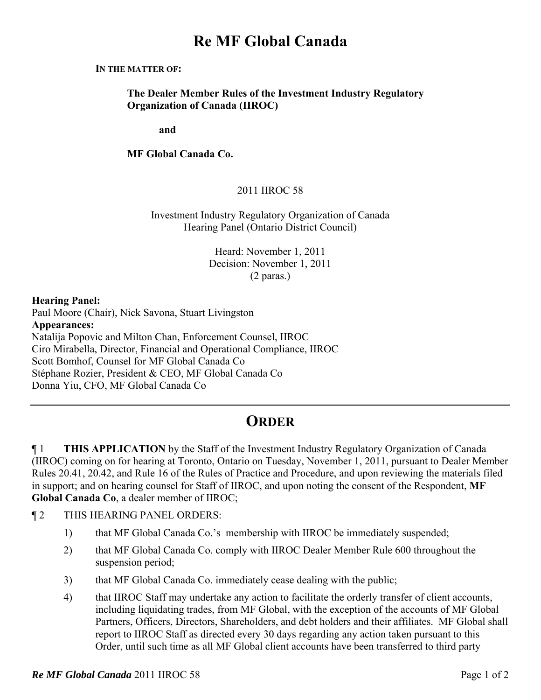# **Re MF Global Canada**

#### **IN THE MATTER OF:**

**The Dealer Member Rules of the Investment Industry Regulatory Organization of Canada (IIROC)** 

**and** 

**MF Global Canada Co.** 

## 2011 IIROC 58

### Investment Industry Regulatory Organization of Canada Hearing Panel (Ontario District Council)

Heard: November 1, 2011 Decision: November 1, 2011 (2 paras.)

#### **Hearing Panel:**

Paul Moore (Chair), Nick Savona, Stuart Livingston **Appearances:**  Natalija Popovic and Milton Chan, Enforcement Counsel, IIROC Ciro Mirabella, Director, Financial and Operational Compliance, IIROC Scott Bomhof, Counsel for MF Global Canada Co Stéphane Rozier, President & CEO, MF Global Canada Co Donna Yiu, CFO, MF Global Canada Co

# **ORDER**

¶ 1 **THIS APPLICATION** by the Staff of the Investment Industry Regulatory Organization of Canada (IIROC) coming on for hearing at Toronto, Ontario on Tuesday, November 1, 2011, pursuant to Dealer Member Rules 20.41, 20.42, and Rule 16 of the Rules of Practice and Procedure, and upon reviewing the materials filed in support; and on hearing counsel for Staff of IIROC, and upon noting the consent of the Respondent, **MF Global Canada Co**, a dealer member of IIROC;

- ¶ 2 THIS HEARING PANEL ORDERS:
	- 1) that MF Global Canada Co.'s membership with IIROC be immediately suspended;
	- 2) that MF Global Canada Co. comply with IIROC Dealer Member Rule 600 throughout the suspension period;
	- 3) that MF Global Canada Co. immediately cease dealing with the public;
	- 4) that IIROC Staff may undertake any action to facilitate the orderly transfer of client accounts, including liquidating trades, from MF Global, with the exception of the accounts of MF Global Partners, Officers, Directors, Shareholders, and debt holders and their affiliates. MF Global shall report to IIROC Staff as directed every 30 days regarding any action taken pursuant to this Order, until such time as all MF Global client accounts have been transferred to third party